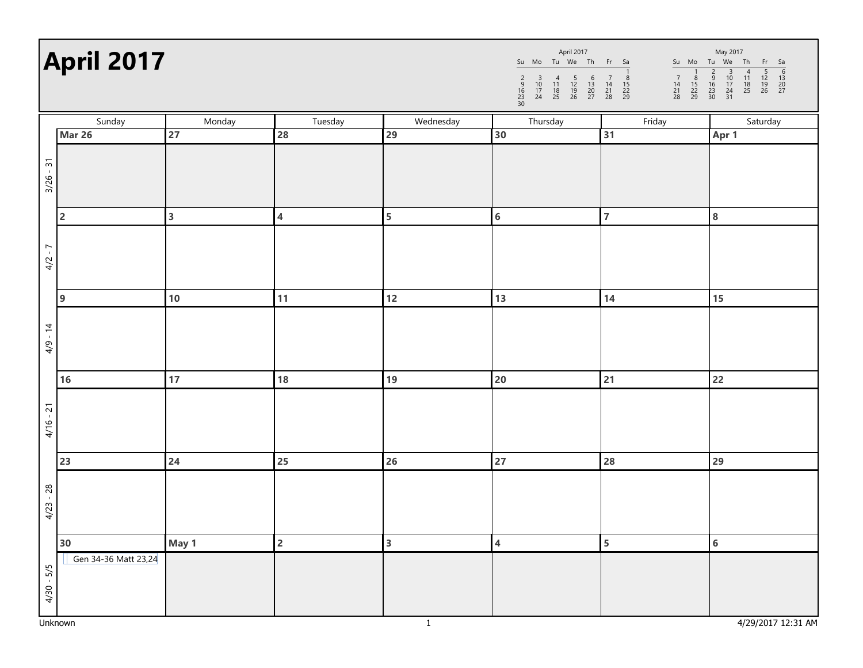| <b>April 2017</b> |                      |                         |                         | April 2017<br>May 2017<br>Su Mo Tu We Th Fr Sa<br>Su Mo Tu We Th<br>$rac{Fr}{r}$<br>Sa<br>$\frac{5}{12}$<br>$\frac{12}{19}$<br>26<br>$\frac{6}{13}$<br>$\frac{13}{20}$<br>$\frac{20}{27}$<br>$\frac{2}{9}$<br>$\frac{16}{23}$<br>$\frac{23}{30}$<br>$\frac{1}{8}$<br>$\frac{15}{22}$<br>29<br>$\begin{array}{c}\n 3 \\  10 \\  17 \\  24 \\  31\n\end{array}$<br>$\begin{array}{c}\n4 \\ 11 \\ 18 \\ 25\n\end{array}$<br>$\begin{array}{ccc} & 4 & 5 \\ 11 & 12 \\ 18 & 19 \\ 25 & 26 \end{array}$<br>$\begin{array}{c} 6 \\ 13 \\ 20 \\ 27 \end{array}$<br>$\begin{array}{c} 7 \\ 14 \\ 21 \\ 28 \end{array}$<br>$\frac{8}{15}$<br>22<br>29<br>$\frac{2}{9}$<br>$\frac{16}{23}$<br>$\frac{23}{30}$<br>$\begin{array}{c} 7 \\ 14 \\ 21 \\ 28 \end{array}$<br>$\begin{array}{c} 3 \\ 10 \\ 17 \\ 24 \end{array}$ |                         |                         |                |
|-------------------|----------------------|-------------------------|-------------------------|-----------------------------------------------------------------------------------------------------------------------------------------------------------------------------------------------------------------------------------------------------------------------------------------------------------------------------------------------------------------------------------------------------------------------------------------------------------------------------------------------------------------------------------------------------------------------------------------------------------------------------------------------------------------------------------------------------------------------------------------------------------------------------------------------------------------|-------------------------|-------------------------|----------------|
|                   | Sunday               | Monday                  | Tuesday                 | Wednesday                                                                                                                                                                                                                                                                                                                                                                                                                                                                                                                                                                                                                                                                                                                                                                                                       | Thursday                | Friday                  | Saturday       |
|                   | Mar 26               | 27                      | 28                      | 29                                                                                                                                                                                                                                                                                                                                                                                                                                                                                                                                                                                                                                                                                                                                                                                                              | 30                      | 31                      | Apr 1          |
|                   |                      |                         |                         |                                                                                                                                                                                                                                                                                                                                                                                                                                                                                                                                                                                                                                                                                                                                                                                                                 |                         |                         |                |
| $3/26 - 31$       |                      |                         |                         |                                                                                                                                                                                                                                                                                                                                                                                                                                                                                                                                                                                                                                                                                                                                                                                                                 |                         |                         |                |
|                   |                      |                         |                         |                                                                                                                                                                                                                                                                                                                                                                                                                                                                                                                                                                                                                                                                                                                                                                                                                 |                         |                         |                |
|                   |                      |                         |                         |                                                                                                                                                                                                                                                                                                                                                                                                                                                                                                                                                                                                                                                                                                                                                                                                                 |                         |                         |                |
|                   | $\overline{2}$       | $\overline{\mathbf{3}}$ | $\overline{\mathbf{4}}$ | $\overline{\mathbf{5}}$                                                                                                                                                                                                                                                                                                                                                                                                                                                                                                                                                                                                                                                                                                                                                                                         | $\bf 6$                 | $\overline{7}$          | 8              |
|                   |                      |                         |                         |                                                                                                                                                                                                                                                                                                                                                                                                                                                                                                                                                                                                                                                                                                                                                                                                                 |                         |                         |                |
| -7<br>4/2         |                      |                         |                         |                                                                                                                                                                                                                                                                                                                                                                                                                                                                                                                                                                                                                                                                                                                                                                                                                 |                         |                         |                |
|                   |                      |                         |                         |                                                                                                                                                                                                                                                                                                                                                                                                                                                                                                                                                                                                                                                                                                                                                                                                                 |                         |                         |                |
|                   | $\overline{9}$       | 10                      | 11                      | $12$                                                                                                                                                                                                                                                                                                                                                                                                                                                                                                                                                                                                                                                                                                                                                                                                            | 13                      | 14                      | 15             |
|                   |                      |                         |                         |                                                                                                                                                                                                                                                                                                                                                                                                                                                                                                                                                                                                                                                                                                                                                                                                                 |                         |                         |                |
|                   |                      |                         |                         |                                                                                                                                                                                                                                                                                                                                                                                                                                                                                                                                                                                                                                                                                                                                                                                                                 |                         |                         |                |
| $4/9 - 14$        |                      |                         |                         |                                                                                                                                                                                                                                                                                                                                                                                                                                                                                                                                                                                                                                                                                                                                                                                                                 |                         |                         |                |
|                   |                      |                         |                         |                                                                                                                                                                                                                                                                                                                                                                                                                                                                                                                                                                                                                                                                                                                                                                                                                 |                         |                         |                |
|                   | 16                   | 17                      | 18                      | 19                                                                                                                                                                                                                                                                                                                                                                                                                                                                                                                                                                                                                                                                                                                                                                                                              | 20                      | 21                      | 22             |
|                   |                      |                         |                         |                                                                                                                                                                                                                                                                                                                                                                                                                                                                                                                                                                                                                                                                                                                                                                                                                 |                         |                         |                |
| $4/16 - 21$       |                      |                         |                         |                                                                                                                                                                                                                                                                                                                                                                                                                                                                                                                                                                                                                                                                                                                                                                                                                 |                         |                         |                |
|                   |                      |                         |                         |                                                                                                                                                                                                                                                                                                                                                                                                                                                                                                                                                                                                                                                                                                                                                                                                                 |                         |                         |                |
|                   | 23                   | 24                      | 25                      | 26                                                                                                                                                                                                                                                                                                                                                                                                                                                                                                                                                                                                                                                                                                                                                                                                              | 27                      | 28                      | 29             |
|                   |                      |                         |                         |                                                                                                                                                                                                                                                                                                                                                                                                                                                                                                                                                                                                                                                                                                                                                                                                                 |                         |                         |                |
|                   |                      |                         |                         |                                                                                                                                                                                                                                                                                                                                                                                                                                                                                                                                                                                                                                                                                                                                                                                                                 |                         |                         |                |
| $4/23 - 28$       |                      |                         |                         |                                                                                                                                                                                                                                                                                                                                                                                                                                                                                                                                                                                                                                                                                                                                                                                                                 |                         |                         |                |
|                   |                      |                         |                         |                                                                                                                                                                                                                                                                                                                                                                                                                                                                                                                                                                                                                                                                                                                                                                                                                 |                         |                         |                |
|                   | 30                   | May 1                   | $\overline{2}$          | $\overline{\mathbf{3}}$                                                                                                                                                                                                                                                                                                                                                                                                                                                                                                                                                                                                                                                                                                                                                                                         | $\overline{\mathbf{4}}$ | $\overline{\mathbf{5}}$ | $6\phantom{a}$ |
|                   | Gen 34-36 Matt 23,24 |                         |                         |                                                                                                                                                                                                                                                                                                                                                                                                                                                                                                                                                                                                                                                                                                                                                                                                                 |                         |                         |                |
|                   |                      |                         |                         |                                                                                                                                                                                                                                                                                                                                                                                                                                                                                                                                                                                                                                                                                                                                                                                                                 |                         |                         |                |
| $4/30 - 5/5$      |                      |                         |                         |                                                                                                                                                                                                                                                                                                                                                                                                                                                                                                                                                                                                                                                                                                                                                                                                                 |                         |                         |                |